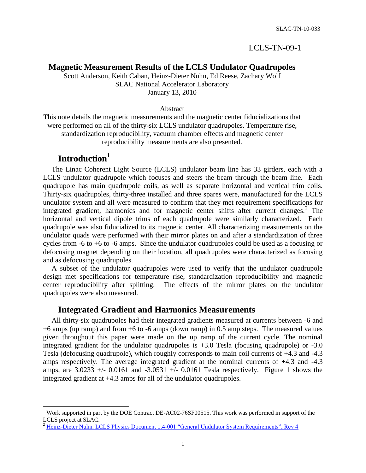#### LCLS-TN-09-1

#### **Magnetic Measurement Results of the LCLS Undulator Quadrupoles**

Scott Anderson, Keith Caban, Heinz-Dieter Nuhn, Ed Reese, Zachary Wolf SLAC National Accelerator Laboratory January 13, 2010

#### Abstract

This note details the magnetic measurements and the magnetic center fiducializations that were performed on all of the thirty-six LCLS undulator quadrupoles. Temperature rise, standardization reproducibility, vacuum chamber effects and magnetic center reproducibility measurements are also presented.

## **Introduction<sup>1</sup>**

l

The Linac Coherent Light Source (LCLS) undulator beam line has 33 girders, each with a LCLS undulator quadrupole which focuses and steers the beam through the beam line. Each quadrupole has main quadrupole coils, as well as separate horizontal and vertical trim coils. Thirty-six quadrupoles, thirty-three installed and three spares were, manufactured for the LCLS undulator system and all were measured to confirm that they met requirement specifications for integrated gradient, harmonics and for magnetic center shifts after current changes.<sup>2</sup> The horizontal and vertical dipole trims of each quadrupole were similarly characterized. Each quadrupole was also fiducialized to its magnetic center. All characterizing measurements on the undulator quads were performed with their mirror plates on and after a standardization of three cycles from -6 to +6 to -6 amps. Since the undulator quadrupoles could be used as a focusing or defocusing magnet depending on their location, all quadrupoles were characterized as focusing and as defocusing quadrupoles.

A subset of the undulator quadrupoles were used to verify that the undulator quadrupole design met specifications for temperature rise, standardization reproducibility and magnetic center reproducibility after splitting. The effects of the mirror plates on the undulator quadrupoles were also measured.

#### **Integrated Gradient and Harmonics Measurements**

All thirty-six quadrupoles had their integrated gradients measured at currents between -6 and +6 amps (up ramp) and from +6 to -6 amps (down ramp) in 0.5 amp steps. The measured values given throughout this paper were made on the up ramp of the current cycle. The nominal integrated gradient for the undulator quadrupoles is +3.0 Tesla (focusing quadrupole) or -3.0 Tesla (defocusing quadrupole), which roughly corresponds to main coil currents of +4.3 and -4.3 amps respectively. The average integrated gradient at the nominal currents of +4.3 and -4.3 amps, are  $3.0233$  +/-  $0.0161$  and  $-3.0531$  +/-  $0.0161$  Tesla respectively. Figure 1 shows the integrated gradient at +4.3 amps for all of the undulator quadrupoles.

<sup>&</sup>lt;sup>1</sup> Work supported in part by the DOE Contract DE-AC02-76SF00515. This work was performed in support of the LCLS project at SLAC.

<sup>&</sup>lt;sup>2</sup> [Heinz-Dieter Nuhn, LCLS Physics Document 1.4-001 "General Undulator System Requirements", Rev 4](http://www-ssrl.slac.stanford.edu/lcls/prd/1.4-001-r1.pdf)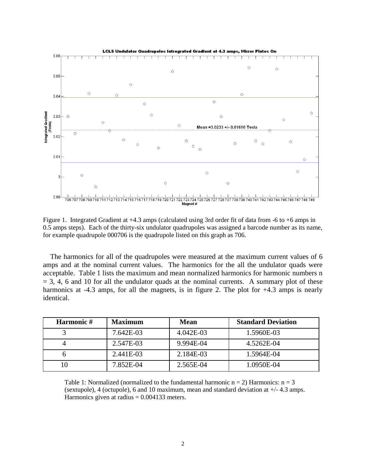

Figure 1. Integrated Gradient at +4.3 amps (calculated using 3rd order fit of data from -6 to +6 amps in 0.5 amps steps). Each of the thirty-six undulator quadrupoles was assigned a barcode number as its name, for example quadrupole 000706 is the quadrupole listed on this graph as 706.

 The harmonics for all of the quadrupoles were measured at the maximum current values of 6 amps and at the nominal current values. The harmonics for the all the undulator quads were acceptable. Table 1 lists the maximum and mean normalized harmonics for harmonic numbers n  $=$  3, 4, 6 and 10 for all the undulator quads at the nominal currents. A summary plot of these harmonics at -4.3 amps, for all the magnets, is in figure 2. The plot for  $+4.3$  amps is nearly identical.

| Harmonic# | <b>Maximum</b> | <b>Mean</b> | <b>Standard Deviation</b> |
|-----------|----------------|-------------|---------------------------|
|           | 7.642E-03      | 4.042E-03   | 1.5960E-03                |
|           | 2.547E-03      | 9.994E-04   | 4.5262E-04                |
|           | 2.441E-03      | 2.184E-03   | 1.5964E-04                |
|           | 7.852E-04      | 2.565E-04   | 1.0950E-04                |

Table 1: Normalized (normalized to the fundamental harmonic  $n = 2$ ) Harmonics:  $n = 3$ (sextupole), 4 (octupole), 6 and 10 maximum, mean and standard deviation at +/- 4.3 amps. Harmonics given at radius  $= 0.004133$  meters.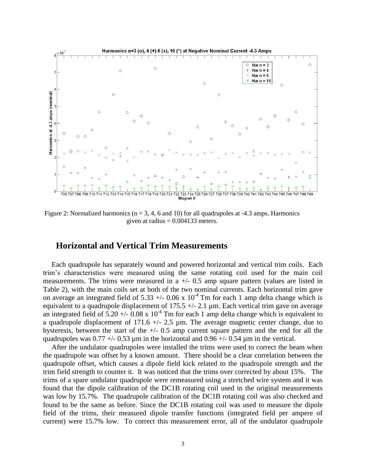

Figure 2: Normalized harmonics ( $n = 3, 4, 6$  and 10) for all quadrupoles at -4.3 amps. Harmonics given at radius  $= 0.004133$  meters.

#### **Horizontal and Vertical Trim Measurements**

Each quadrupole has separately wound and powered horizontal and vertical trim coils. Each trim's characteristics were measured using the same rotating coil used for the main coil measurements. The trims were measured in a  $+/-$  0.5 amp square pattern (values are listed in Table 2), with the main coils set at both of the two nominal currents. Each horizontal trim gave on average an integrated field of 5.33 +/- 0.06 x  $10^{-4}$  Tm for each 1 amp delta change which is equivalent to a quadrupole displacement of 175.5  $+/- 2.1$  µm. Each vertical trim gave on average an integrated field of 5.20 +/-  $0.08 \times 10^{-4}$  Tm for each 1 amp delta change which is equivalent to a quadrupole displacement of 171.6  $\pm$ /- 2.5 µm. The average magnetic center change, due to hysteresis, between the start of the  $+/- 0.5$  amp current square pattern and the end for all the quadrupoles was  $0.77 + (-0.53 \text{ µm} \text{ in the horizontal and } 0.96 + (-0.54 \text{ µm} \text{ in the vertical.})$ 

After the undulator quadrupoles were installed the trims were used to correct the beam when the quadrupole was offset by a known amount. There should be a clear correlation between the quadrupole offset, which causes a dipole field kick related to the quadrupole strength and the trim field strength to counter it. It was noticed that the trims over corrected by about 15%. The trims of a spare undulator quadrupole were remeasured using a stretched wire system and it was found that the dipole calibration of the DC1B rotating coil used in the original measurements was low by 15.7%. The quadrupole calibration of the DC1B rotating coil was also checked and found to be the same as before. Since the DC1B rotating coil was used to measure the dipole field of the trims, their measured dipole transfer functions (integrated field per ampere of current) were 15.7% low. To correct this measurement error, all of the undulator quadrupole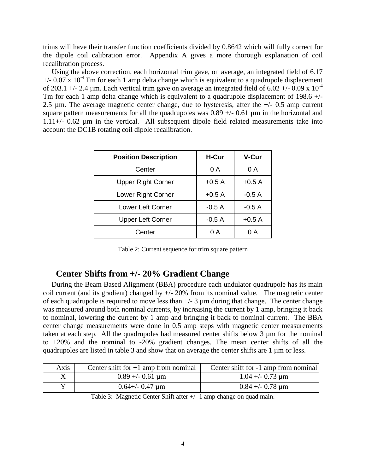trims will have their transfer function coefficients divided by 0.8642 which will fully correct for the dipole coil calibration error. Appendix A gives a more thorough explanation of coil recalibration process.

Using the above correction, each horizontal trim gave, on average, an integrated field of 6.17  $+/- 0.07 \times 10^{-4}$  Tm for each 1 amp delta change which is equivalent to a quadrupole displacement of 203.1 +/- 2.4  $\mu$ m. Each vertical trim gave on average an integrated field of 6.02 +/- 0.09 x 10<sup>-4</sup> Tm for each 1 amp delta change which is equivalent to a quadrupole displacement of 198.6  $+/-$ 2.5  $\mu$ m. The average magnetic center change, due to hysteresis, after the  $+/- 0.5$  amp current square pattern measurements for all the quadrupoles was  $0.89 +/-0.61$  µm in the horizontal and 1.11+/- 0.62 µm in the vertical. All subsequent dipole field related measurements take into account the DC1B rotating coil dipole recalibration.

| <b>Position Description</b> | H-Cur   | V-Cur   |
|-----------------------------|---------|---------|
| Center                      | 0 A     | 0 A     |
| <b>Upper Right Corner</b>   | $+0.5A$ | $+0.5A$ |
| Lower Right Corner          | $+0.5A$ | $-0.5A$ |
| <b>Lower Left Corner</b>    | $-0.5A$ | $-0.5A$ |
| <b>Upper Left Corner</b>    | $-0.5A$ | $+0.5A$ |
| Center                      | 0 A     | 0 A     |

Table 2: Current sequence for trim square pattern

## **Center Shifts from +/- 20% Gradient Change**

During the Beam Based Alignment (BBA) procedure each undulator quadrupole has its main coil current (and its gradient) changed by  $+/- 20\%$  from its nominal value. The magnetic center of each quadrupole is required to move less than  $+/- 3 \mu m$  during that change. The center change was measured around both nominal currents, by increasing the current by 1 amp, bringing it back to nominal, lowering the current by 1 amp and bringing it back to nominal current. The BBA center change measurements were done in 0.5 amp steps with magnetic center measurements taken at each step. All the quadrupoles had measured center shifts below 3 µm for the nominal to +20% and the nominal to -20% gradient changes. The mean center shifts of all the quadrupoles are listed in table 3 and show that on average the center shifts are 1 µm or less.

| Axis | Center shift for $+1$ amp from nominal | Center shift for -1 amp from nominal |
|------|----------------------------------------|--------------------------------------|
|      | $0.89 + -0.61$ µm                      | $1.04 + -0.73 \mu m$                 |
|      | $0.64 + (-0.47)$ µm                    | $0.84 + -0.78 \mu m$                 |

Table 3: Magnetic Center Shift after +/- 1 amp change on quad main.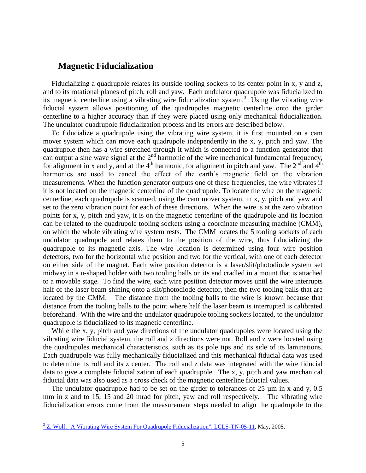#### **Magnetic Fiducialization**

Fiducializing a quadrupole relates its outside tooling sockets to its center point in x, y and z, and to its rotational planes of pitch, roll and yaw. Each undulator quadrupole was fiducialized to its magnetic centerline using a vibrating wire fiducialization system.<sup>3</sup> Using the vibrating wire fiducial system allows positioning of the quadrupoles magnetic centerline onto the girder centerline to a higher accuracy than if they were placed using only mechanical fiducialization. The undulator quadrupole fiducialization process and its errors are described below.

To fiducialize a quadrupole using the vibrating wire system, it is first mounted on a cam mover system which can move each quadrupole independently in the x, y, pitch and yaw. The quadrupole then has a wire stretched through it which is connected to a function generator that can output a sine wave signal at the  $2<sup>nd</sup>$  harmonic of the wire mechanical fundamental frequency, for alignment in x and y, and at the 4<sup>th</sup> harmonic, for alignment in pitch and yaw. The 2<sup>nd</sup> and 4<sup>th</sup> harmonics are used to cancel the effect of the earth's magnetic field on the vibration measurements. When the function generator outputs one of these frequencies, the wire vibrates if it is not located on the magnetic centerline of the quadrupole. To locate the wire on the magnetic centerline, each quadrupole is scanned, using the cam mover system, in x, y, pitch and yaw and set to the zero vibration point for each of these directions. When the wire is at the zero vibration points for x, y, pitch and yaw, it is on the magnetic centerline of the quadrupole and its location can be related to the quadrupole tooling sockets using a coordinate measuring machine (CMM), on which the whole vibrating wire system rests. The CMM locates the 5 tooling sockets of each undulator quadrupole and relates them to the position of the wire, thus fiducializing the quadrupole to its magnetic axis. The wire location is determined using four wire position detectors, two for the horizontal wire position and two for the vertical, with one of each detector on either side of the magnet. Each wire position detector is a laser/slit/photodiode system set midway in a u-shaped holder with two tooling balls on its end cradled in a mount that is attached to a movable stage. To find the wire, each wire position detector moves until the wire interrupts half of the laser beam shining onto a slit/photodiode detector, then the two tooling balls that are located by the CMM. The distance from the tooling balls to the wire is known because that distance from the tooling balls to the point where half the laser beam is interrupted is calibrated beforehand. With the wire and the undulator quadrupole tooling sockets located, to the undulator quadrupole is fiducialized to its magnetic centerline.

While the x, y, pitch and yaw directions of the undulator quadrupoles were located using the vibrating wire fiducial system, the roll and z directions were not. Roll and z were located using the quadrupoles mechanical characteristics, such as its pole tips and its side of its laminations. Each quadrupole was fully mechanically fiducialized and this mechanical fiducial data was used to determine its roll and its z center. The roll and z data was integrated with the wire fiducial data to give a complete fiducialization of each quadrupole. The x, y, pitch and yaw mechanical fiducial data was also used as a cross check of the magnetic centerline fiducial values.

The undulator quadrupole had to be set on the girder to tolerances of 25  $\mu$ m in x and y, 0.5 mm in z and to 15, 15 and 20 mrad for pitch, yaw and roll respectively. The vibrating wire fiducialization errors come from the measurement steps needed to align the quadrupole to the

l

<sup>&</sup>lt;sup>3</sup> [Z. Wolf, "A Vibrating Wire System For Quadrupole Fiducialization", LCLS-TN-05-11,](http://www-ssrl.slac.stanford.edu/lcls/technotes/lcls-tn-05-11.pdf) May, 2005.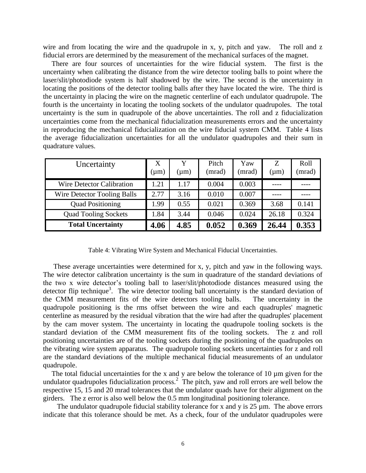wire and from locating the wire and the quadrupole in x, y, pitch and yaw. The roll and z fiducial errors are determined by the measurement of the mechanical surfaces of the magnet.

There are four sources of uncertainties for the wire fiducial system. The first is the uncertainty when calibrating the distance from the wire detector tooling balls to point where the laser/slit/photodiode system is half shadowed by the wire. The second is the uncertainty in locating the positions of the detector tooling balls after they have located the wire. The third is the uncertainty in placing the wire on the magnetic centerline of each undulator quadrupole. The fourth is the uncertainty in locating the tooling sockets of the undulator quadrupoles. The total uncertainty is the sum in quadrupole of the above uncertainties. The roll and z fiducialization uncertainties come from the mechanical fiducialization measurements errors and the uncertainty in reproducing the mechanical fiducialization on the wire fiducial system CMM. Table 4 lists the average fiducialization uncertainties for all the undulator quadrupoles and their sum in quadrature values.

| Uncertainty                 | X<br>$(\mu m)$ | Y<br>$(\mu m)$ | Pitch<br>(mrad) | Yaw<br>(mrad) | Z<br>$(\mu m)$ | Roll<br>(mrad) |
|-----------------------------|----------------|----------------|-----------------|---------------|----------------|----------------|
| Wire Detector Calibration   | 1.21           | 1.17           | 0.004           | 0.003         |                |                |
| Wire Detector Tooling Balls | 2.77           | 3.16           | 0.010           | 0.007         |                |                |
| <b>Quad Positioning</b>     | 1.99           | 0.55           | 0.021           | 0.369         | 3.68           | 0.141          |
| <b>Quad Tooling Sockets</b> | 1.84           | 3.44           | 0.046           | 0.024         | 26.18          | 0.324          |
| <b>Total Uncertainty</b>    | 4.06           | 4.85           | 0.052           | 0.369         | 26.44          | 0.353          |

Table 4: Vibrating Wire System and Mechanical Fiducial Uncertainties.

These average uncertainties were determined for x, y, pitch and yaw in the following ways. The wire detector calibration uncertainty is the sum in quadrature of the standard deviations of the two x wire detector's tooling ball to laser/slit/photodiode distances measured using the detector flip technique<sup>3</sup>. The wire detector tooling ball uncertainty is the standard deviation of the CMM measurement fits of the wire detectors tooling balls. The uncertainty in the quadrupole positioning is the rms offset between the wire and each quadruples' magnetic centerline as measured by the residual vibration that the wire had after the quadruples' placement by the cam mover system. The uncertainty in locating the quadrupole tooling sockets is the standard deviation of the CMM measurement fits of the tooling sockets. The z and roll positioning uncertainties are of the tooling sockets during the positioning of the quadrupoles on the vibrating wire system apparatus. The quadrupole tooling sockets uncertainties for z and roll are the standard deviations of the multiple mechanical fiducial measurements of an undulator quadrupole.

The total fiducial uncertainties for the x and y are below the tolerance of 10  $\mu$ m given for the undulator quadrupoles fiducialization process.<sup>2</sup> The pitch, yaw and roll errors are well below the respective 15, 15 and 20 mrad tolerances that the undulator quads have for their alignment on the girders. The z error is also well below the 0.5 mm longitudinal positioning tolerance.

The undulator quadrupole fiducial stability tolerance for x and y is  $25 \mu m$ . The above errors indicate that this tolerance should be met. As a check, four of the undulator quadrupoles were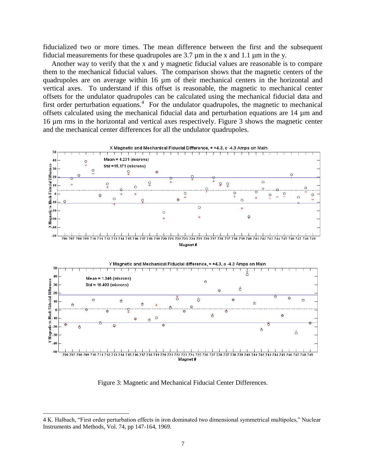fiducialized two or more times. The mean difference between the first and the subsequent fiducial measurements for these quadrupoles are 3.7 µm in the x and 1.1 µm in the y.

Another way to verify that the x and y magnetic fiducial values are reasonable is to compare them to the mechanical fiducial values. The comparison shows that the magnetic centers of the quadrupoles are on average within 16 µm of their mechanical centers in the horizontal and vertical axes. To understand if this offset is reasonable, the magnetic to mechanical center offsets for the undulator quadrupoles can be calculated using the mechanical fiducial data and first order perturbation equations.<sup>4</sup> For the undulator quadrupoles, the magnetic to mechanical offsets calculated using the mechanical fiducial data and perturbation equations are 14 µm and 16 µm rms in the horizontal and vertical axes respectively. Figure 3 shows the magnetic center and the mechanical center differences for all the undulator quadrupoles.



Figure 3: Magnetic and Mechanical Fiducial Center Differences.

 $\overline{a}$ 

<sup>4</sup> K. Halbach, "First order perturbation effects in iron dominated two dimensional symmetrical multipoles," Nuclear Instruments and Methods, Vol. 74, pp 147-164, 1969.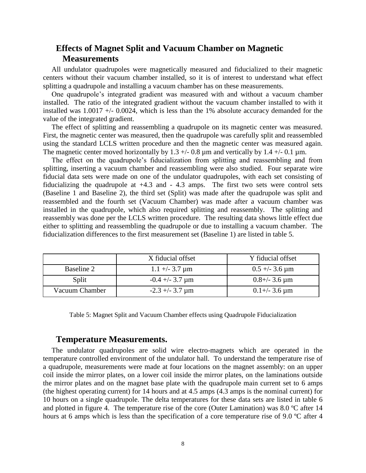## **Effects of Magnet Split and Vacuum Chamber on Magnetic Measurements**

All undulator quadrupoles were magnetically measured and fiducialized to their magnetic centers without their vacuum chamber installed, so it is of interest to understand what effect splitting a quadrupole and installing a vacuum chamber has on these measurements.

One quadrupole's integrated gradient was measured with and without a vacuum chamber installed. The ratio of the integrated gradient without the vacuum chamber installed to with it installed was  $1.0017 +1.00024$ , which is less than the 1% absolute accuracy demanded for the value of the integrated gradient.

The effect of splitting and reassembling a quadrupole on its magnetic center was measured. First, the magnetic center was measured, then the quadrupole was carefully split and reassembled using the standard LCLS written procedure and then the magnetic center was measured again. The magnetic center moved horizontally by 1.3  $+/-$  0.8 µm and vertically by 1.4  $+/-$  0.1 µm.

The effect on the quadrupole's fiducialization from splitting and reassembling and from splitting, inserting a vacuum chamber and reassembling were also studied. Four separate wire fiducial data sets were made on one of the undulator quadrupoles, with each set consisting of fiducializing the quadrupole at  $+4.3$  and  $-4.3$  amps. The first two sets were control sets (Baseline 1 and Baseline 2), the third set (Split) was made after the quadrupole was split and reassembled and the fourth set (Vacuum Chamber) was made after a vacuum chamber was installed in the quadrupole, which also required splitting and reassembly. The splitting and reassembly was done per the LCLS written procedure. The resulting data shows little effect due either to splitting and reassembling the quadrupole or due to installing a vacuum chamber. The fiducialization differences to the first measurement set (Baseline 1) are listed in table 5.

|                | X fiducial offset   | Y fiducial offset   |
|----------------|---------------------|---------------------|
| Baseline 2     | $1.1 +/- 3.7 \mu m$ | $0.5 +/- 3.6 \mu m$ |
| Split          | $-0.4 + -3.7 \mu m$ | $0.8 +/- 3.6 \mu m$ |
| Vacuum Chamber | $-2.3 + -3.7 \mu m$ | $0.1 +/- 3.6 \mu m$ |

Table 5: Magnet Split and Vacuum Chamber effects using Quadrupole Fiducialization

### **Temperature Measurements.**

The undulator quadrupoles are solid wire electro-magnets which are operated in the temperature controlled environment of the undulator hall. To understand the temperature rise of a quadrupole, measurements were made at four locations on the magnet assembly: on an upper coil inside the mirror plates, on a lower coil inside the mirror plates, on the laminations outside the mirror plates and on the magnet base plate with the quadrupole main current set to 6 amps (the highest operating current) for 14 hours and at 4.5 amps (4.3 amps is the nominal current) for 10 hours on a single quadrupole. The delta temperatures for these data sets are listed in table 6 and plotted in figure 4. The temperature rise of the core (Outer Lamination) was 8.0 ºC after 14 hours at 6 amps which is less than the specification of a core temperature rise of 9.0 °C after 4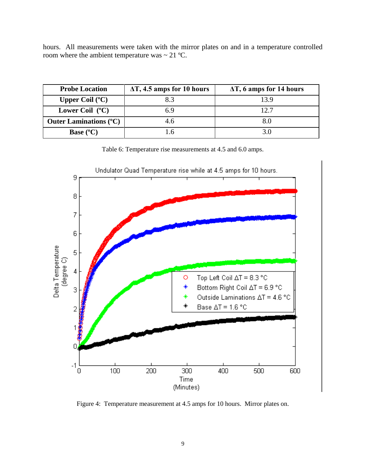hours. All measurements were taken with the mirror plates on and in a temperature controlled room where the ambient temperature was  $\sim 21$  °C.

| <b>Probe Location</b>         | $\Delta T$ , 4.5 amps for 10 hours | $\Delta T$ , 6 amps for 14 hours |  |
|-------------------------------|------------------------------------|----------------------------------|--|
| Upper Coil $(^{\circ}C)$      | 8.3                                | 13.9                             |  |
| Lower Coil $(^{\circ}C)$      | ճ.9                                | 12.7                             |  |
| <b>Outer Laminations (°C)</b> | 4.6                                |                                  |  |
| <b>Base</b> $(^{\circ}C)$     |                                    |                                  |  |

Table 6: Temperature rise measurements at 4.5 and 6.0 amps.



Figure 4: Temperature measurement at 4.5 amps for 10 hours. Mirror plates on.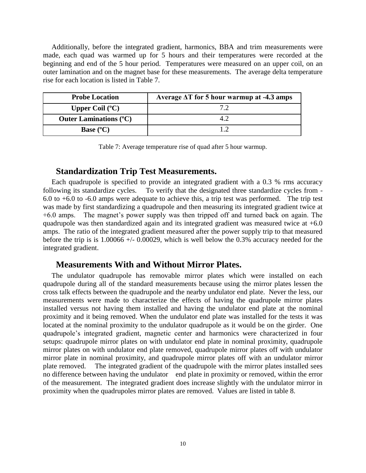Additionally, before the integrated gradient, harmonics, BBA and trim measurements were made, each quad was warmed up for 5 hours and their temperatures were recorded at the beginning and end of the 5 hour period. Temperatures were measured on an upper coil, on an outer lamination and on the magnet base for these measurements. The average delta temperature rise for each location is listed in Table 7.

| <b>Probe Location</b>         | Average $\Delta T$ for 5 hour warmup at -4.3 amps |  |  |
|-------------------------------|---------------------------------------------------|--|--|
| Upper Coil $(^{\circ}C)$      |                                                   |  |  |
| <b>Outer Laminations (°C)</b> |                                                   |  |  |
| <b>Base</b> $(^{\circ}C)$     |                                                   |  |  |

Table 7: Average temperature rise of quad after 5 hour warmup.

### **Standardization Trip Test Measurements.**

Each quadrupole is specified to provide an integrated gradient with a 0.3 % rms accuracy following its standardize cycles. To verify that the designated three standardize cycles from - 6.0 to +6.0 to -6.0 amps were adequate to achieve this, a trip test was performed. The trip test was made by first standardizing a quadrupole and then measuring its integrated gradient twice at +6.0 amps. The magnet's power supply was then tripped off and turned back on again. The quadrupole was then standardized again and its integrated gradient was measured twice at  $+6.0$ amps. The ratio of the integrated gradient measured after the power supply trip to that measured before the trip is is  $1.00066 +/- 0.00029$ , which is well below the 0.3% accuracy needed for the integrated gradient.

### **Measurements With and Without Mirror Plates.**

The undulator quadrupole has removable mirror plates which were installed on each quadrupole during all of the standard measurements because using the mirror plates lessen the cross talk effects between the quadrupole and the nearby undulator end plate. Never the less, our measurements were made to characterize the effects of having the quadrupole mirror plates installed versus not having them installed and having the undulator end plate at the nominal proximity and it being removed. When the undulator end plate was installed for the tests it was located at the nominal proximity to the undulator quadrupole as it would be on the girder. One quadrupole's integrated gradient, magnetic center and harmonics were characterized in four setups: quadrupole mirror plates on with undulator end plate in nominal proximity, quadrupole mirror plates on with undulator end plate removed, quadrupole mirror plates off with undulator mirror plate in nominal proximity, and quadrupole mirror plates off with an undulator mirror plate removed. The integrated gradient of the quadrupole with the mirror plates installed sees no difference between having the undulator end plate in proximity or removed, within the error of the measurement. The integrated gradient does increase slightly with the undulator mirror in proximity when the quadrupoles mirror plates are removed. Values are listed in table 8.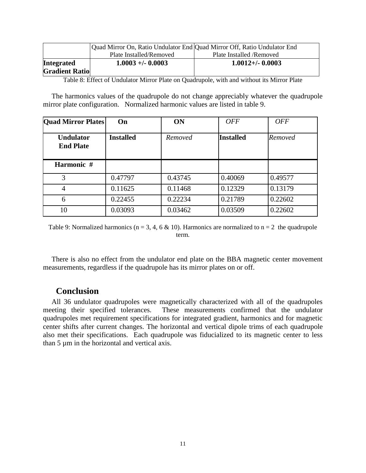|                       |                         | Quad Mirror On, Ratio Undulator End Quad Mirror Off, Ratio Undulator End |
|-----------------------|-------------------------|--------------------------------------------------------------------------|
|                       | Plate Installed/Removed | Plate Installed / Removed                                                |
| <b>Integrated</b>     | $1.0003 + (-0.0003$     | $1.0012 + (-0.0003)$                                                     |
| <b>Gradient Ratio</b> |                         |                                                                          |

Table 8: Effect of Undulator Mirror Plate on Quadrupole, with and without its Mirror Plate

The harmonics values of the quadrupole do not change appreciably whatever the quadrupole mirror plate configuration. Normalized harmonic values are listed in table 9.

| <b>Quad Mirror Plates</b>            | On               | <b>ON</b> | <b>OFF</b>       | <b>OFF</b> |
|--------------------------------------|------------------|-----------|------------------|------------|
| <b>Undulator</b><br><b>End Plate</b> | <b>Installed</b> | Removed   | <b>Installed</b> | Removed    |
| Harmonic #                           |                  |           |                  |            |
| 3                                    | 0.47797          | 0.43745   | 0.40069          | 0.49577    |
| 4                                    | 0.11625          | 0.11468   | 0.12329          | 0.13179    |
| 6                                    | 0.22455          | 0.22234   | 0.21789          | 0.22602    |
| 10                                   | 0.03093          | 0.03462   | 0.03509          | 0.22602    |

Table 9: Normalized harmonics ( $n = 3, 4, 6 \& 10$ ). Harmonics are normalized to  $n = 2$  the quadrupole term.

There is also no effect from the undulator end plate on the BBA magnetic center movement measurements, regardless if the quadrupole has its mirror plates on or off.

#### **Conclusion**

All 36 undulator quadrupoles were magnetically characterized with all of the quadrupoles meeting their specified tolerances. These measurements confirmed that the undulator quadrupoles met requirement specifications for integrated gradient, harmonics and for magnetic center shifts after current changes. The horizontal and vertical dipole trims of each quadrupole also met their specifications. Each quadrupole was fiducialized to its magnetic center to less than 5 µm in the horizontal and vertical axis.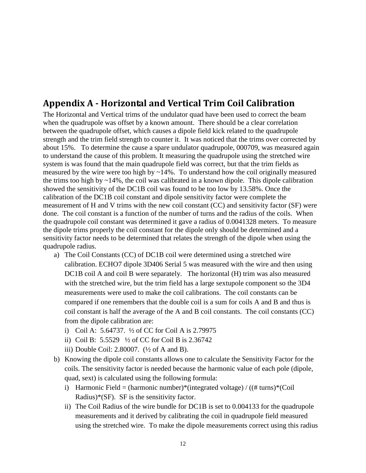# **Appendix A - Horizontal and Vertical Trim Coil Calibration**

The Horizontal and Vertical trims of the undulator quad have been used to correct the beam when the quadrupole was offset by a known amount. There should be a clear correlation between the quadrupole offset, which causes a dipole field kick related to the quadrupole strength and the trim field strength to counter it. It was noticed that the trims over corrected by about 15%. To determine the cause a spare undulator quadrupole, 000709, was measured again to understand the cause of this problem. It measuring the quadrupole using the stretched wire system is was found that the main quadrupole field was correct, but that the trim fields as measured by the wire were too high by  $\sim$ 14%. To understand how the coil originally measured the trims too high by  $\sim$ 14%, the coil was calibrated in a known dipole. This dipole calibration showed the sensitivity of the DC1B coil was found to be too low by 13.58%. Once the calibration of the DC1B coil constant and dipole sensitivity factor were complete the measurement of H and V trims with the new coil constant (CC) and sensitivity factor (SF) were done. The coil constant is a function of the number of turns and the radius of the coils. When the quadrupole coil constant was determined it gave a radius of 0.0041328 meters. To measure the dipole trims properly the coil constant for the dipole only should be determined and a sensitivity factor needs to be determined that relates the strength of the dipole when using the quadrupole radius.

- a) The Coil Constants (CC) of DC1B coil were determined using a stretched wire calibration. ECHO7 dipole 3D406 Serial 5 was measured with the wire and then using DC1B coil A and coil B were separately. The horizontal (H) trim was also measured with the stretched wire, but the trim field has a large sextupole component so the 3D4 measurements were used to make the coil calibrations. The coil constants can be compared if one remembers that the double coil is a sum for coils A and B and thus is coil constant is half the average of the A and B coil constants. The coil constants (CC) from the dipole calibration are:
	- i) Coil A: 5.64737. ½ of CC for Coil A is 2.79975
	- ii) Coil B: 5.5529 ½ of CC for Coil B is 2.36742
	- iii) Double Coil: 2.80007. (½ of A and B).
- b) Knowing the dipole coil constants allows one to calculate the Sensitivity Factor for the coils. The sensitivity factor is needed because the harmonic value of each pole (dipole, quad, sext) is calculated using the following formula:
	- i) Harmonic Field = (harmonic number)\*(integrated voltage) /  $((\# turns)*(Coil)$ Radius)\*(SF). SF is the sensitivity factor.
	- ii) The Coil Radius of the wire bundle for DC1B is set to 0.004133 for the quadrupole measurements and it derived by calibrating the coil in quadrupole field measured using the stretched wire. To make the dipole measurements correct using this radius